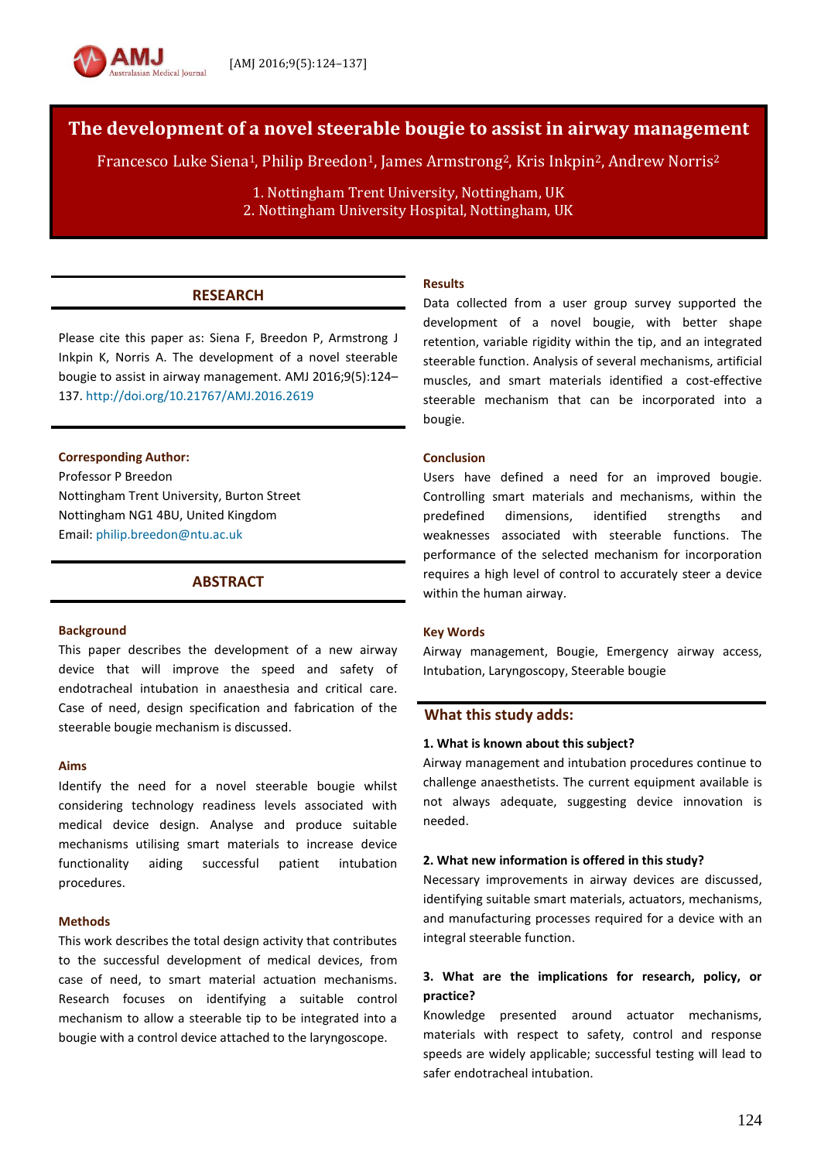# **The development of a novel steerable bougie to assist in airway management**

Francesco Luke Siena1, Philip Breedon1, James Armstrong2, Kris Inkpin2, Andrew Norris<sup>2</sup>

1. Nottingham Trent University, Nottingham, UK 2. Nottingham University Hospital, Nottingham, UK

# **RESEARCH**

Please cite this paper as: Siena F, Breedon P, Armstrong J Inkpin K, Norris A. The development of a novel steerable bougie to assist in airway management. AMJ 2016;9(5):124– 137[. http://doi.org/10.21767/AMJ.2016.2619](http://doi.org/10.21767/AMJ.2016.2619)

#### **Corresponding Author:**

Professor P Breedon Nottingham Trent University, Burton Street Nottingham NG1 4BU, United Kingdom Email: [philip.breedon@ntu.ac.uk](mailto:philip.breedon@ntu.ac.uk)

# **ABSTRACT**

#### **Background**

This paper describes the development of a new airway device that will improve the speed and safety of endotracheal intubation in anaesthesia and critical care. Case of need, design specification and fabrication of the steerable bougie mechanism is discussed.

#### **Aims**

Identify the need for a novel steerable bougie whilst considering technology readiness levels associated with medical device design. Analyse and produce suitable mechanisms utilising smart materials to increase device functionality aiding successful patient intubation procedures.

### **Methods**

This work describes the total design activity that contributes to the successful development of medical devices, from case of need, to smart material actuation mechanisms. Research focuses on identifying a suitable control mechanism to allow a steerable tip to be integrated into a bougie with a control device attached to the laryngoscope.

#### **Results**

Data collected from a user group survey supported the development of a novel bougie, with better shape retention, variable rigidity within the tip, and an integrated steerable function. Analysis of several mechanisms, artificial muscles, and smart materials identified a cost-effective steerable mechanism that can be incorporated into a bougie.

#### **Conclusion**

Users have defined a need for an improved bougie. Controlling smart materials and mechanisms, within the predefined dimensions, identified strengths and weaknesses associated with steerable functions. The performance of the selected mechanism for incorporation requires a high level of control to accurately steer a device within the human airway.

#### **Key Words**

Airway management, Bougie, Emergency airway access, Intubation, Laryngoscopy, Steerable bougie

### **What this study adds:**

#### **1. What is known about this subject?**

Airway management and intubation procedures continue to challenge anaesthetists. The current equipment available is not always adequate, suggesting device innovation is needed.

#### **2. What new information is offered in this study?**

Necessary improvements in airway devices are discussed, identifying suitable smart materials, actuators, mechanisms, and manufacturing processes required for a device with an integral steerable function.

# **3. What are the implications for research, policy, or practice?**

Knowledge presented around actuator mechanisms, materials with respect to safety, control and response speeds are widely applicable; successful testing will lead to safer endotracheal intubation.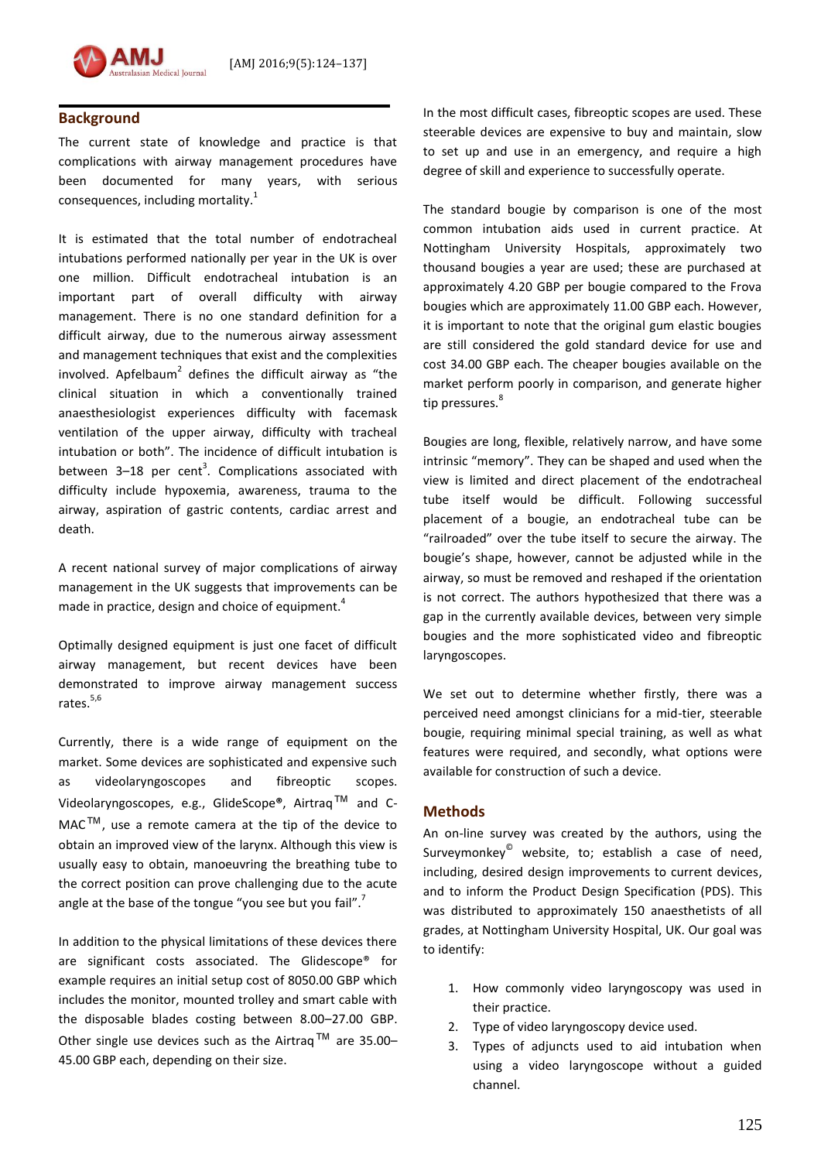

# **Background**

The current state of knowledge and practice is that complications with airway management procedures have been documented for many years, with serious consequences, including mortality.<sup>1</sup>

It is estimated that the total number of endotracheal intubations performed nationally per year in the UK is over one million. Difficult endotracheal intubation is an important part of overall difficulty with airway management. There is no one standard definition for a difficult airway, due to the numerous airway assessment and management techniques that exist and the complexities involved. Apfelbaum<sup>2</sup> defines the difficult airway as "the clinical situation in which a conventionally trained anaesthesiologist experiences difficulty with facemask ventilation of the upper airway, difficulty with tracheal intubation or both". The incidence of difficult intubation is between 3–18 per cent<sup>3</sup>. Complications associated with difficulty include hypoxemia, awareness, trauma to the airway, aspiration of gastric contents, cardiac arrest and death.

A recent national survey of major complications of airway management in the UK suggests that improvements can be made in practice, design and choice of equipment.<sup>4</sup>

Optimally designed equipment is just one facet of difficult airway management, but recent devices have been demonstrated to improve airway management success rates.<sup>5,6</sup>

Currently, there is a wide range of equipment on the market. Some devices are sophisticated and expensive such as videolaryngoscopes and fibreoptic scopes. Videolaryngoscopes, e.g., GlideScope**®**, Airtraq™ and C-MAC™, use a remote camera at the tip of the device to obtain an improved view of the larynx. Although this view is usually easy to obtain, manoeuvring the breathing tube to the correct position can prove challenging due to the acute angle at the base of the tongue "you see but you fail".<sup>7</sup>

In addition to the physical limitations of these devices there are significant costs associated. The Glidescope® for example requires an initial setup cost of 8050.00 GBP which includes the monitor, mounted trolley and smart cable with the disposable blades costing between 8.00–27.00 GBP. Other single use devices such as the Airtrag<sup>TM</sup> are 35.00– 45.00 GBP each, depending on their size.

In the most difficult cases, fibreoptic scopes are used. These steerable devices are expensive to buy and maintain, slow to set up and use in an emergency, and require a high degree of skill and experience to successfully operate.

The standard bougie by comparison is one of the most common intubation aids used in current practice. At Nottingham University Hospitals, approximately two thousand bougies a year are used; these are purchased at approximately 4.20 GBP per bougie compared to the Frova bougies which are approximately 11.00 GBP each. However, it is important to note that the original gum elastic bougies are still considered the gold standard device for use and cost 34.00 GBP each. The cheaper bougies available on the market perform poorly in comparison, and generate higher tip pressures.<sup>8</sup>

Bougies are long, flexible, relatively narrow, and have some intrinsic "memory". They can be shaped and used when the view is limited and direct placement of the endotracheal tube itself would be difficult. Following successful placement of a bougie, an endotracheal tube can be "railroaded" over the tube itself to secure the airway. The bougie's shape, however, cannot be adjusted while in the airway, so must be removed and reshaped if the orientation is not correct. The authors hypothesized that there was a gap in the currently available devices, between very simple bougies and the more sophisticated video and fibreoptic laryngoscopes.

We set out to determine whether firstly, there was a perceived need amongst clinicians for a mid-tier, steerable bougie, requiring minimal special training, as well as what features were required, and secondly, what options were available for construction of such a device.

### **Methods**

An on-line survey was created by the authors, using the Surveymonkey<sup>®</sup> website, to; establish a case of need, including, desired design improvements to current devices, and to inform the Product Design Specification (PDS). This was distributed to approximately 150 anaesthetists of all grades, at Nottingham University Hospital, UK. Our goal was to identify:

- 1. How commonly video laryngoscopy was used in their practice.
- 2. Type of video laryngoscopy device used.
- 3. Types of adjuncts used to aid intubation when using a video laryngoscope without a guided channel.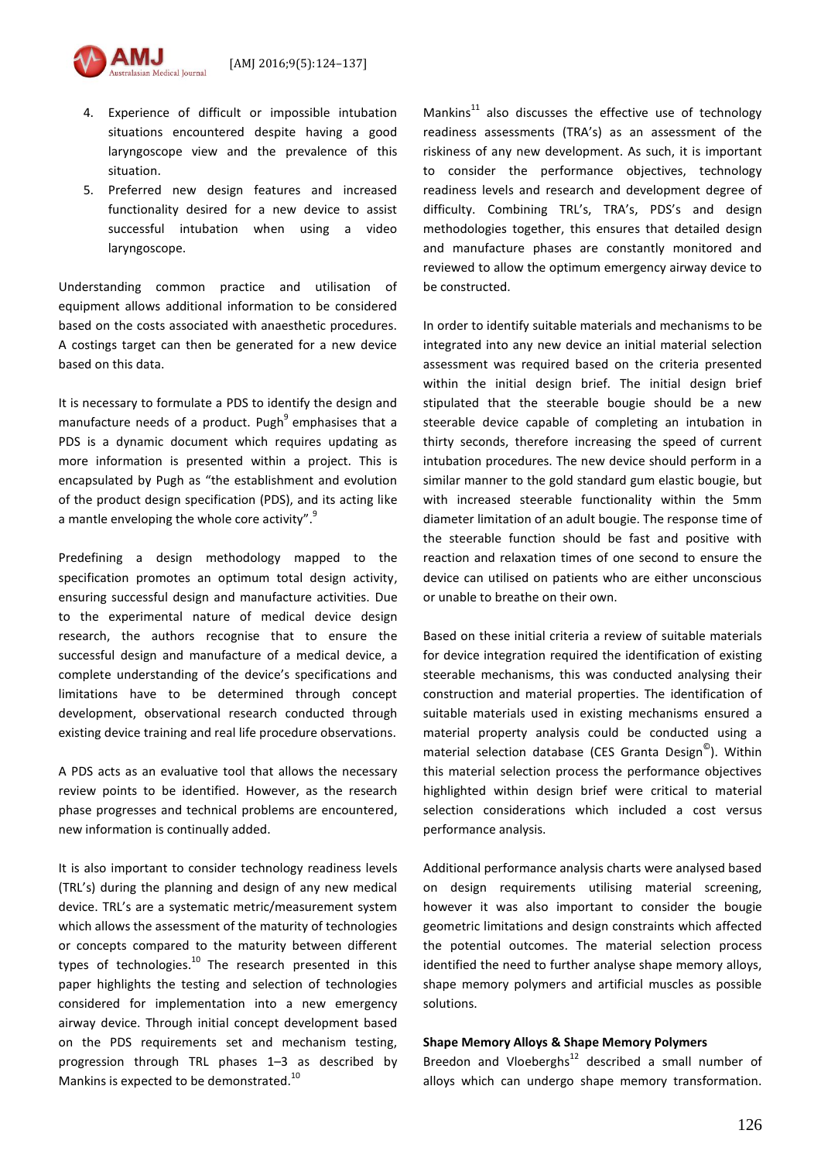

- 4. Experience of difficult or impossible intubation situations encountered despite having a good laryngoscope view and the prevalence of this situation.
- 5. Preferred new design features and increased functionality desired for a new device to assist successful intubation when using a video laryngoscope.

Understanding common practice and utilisation of equipment allows additional information to be considered based on the costs associated with anaesthetic procedures. A costings target can then be generated for a new device based on this data.

It is necessary to formulate a PDS to identify the design and manufacture needs of a product. Pugh<sup>9</sup> emphasises that a PDS is a dynamic document which requires updating as more information is presented within a project. This is encapsulated by Pugh as "the establishment and evolution of the product design specification (PDS), and its acting like a mantle enveloping the whole core activity".<sup>9</sup>

Predefining a design methodology mapped to the specification promotes an optimum total design activity, ensuring successful design and manufacture activities. Due to the experimental nature of medical device design research, the authors recognise that to ensure the successful design and manufacture of a medical device, a complete understanding of the device's specifications and limitations have to be determined through concept development, observational research conducted through existing device training and real life procedure observations.

A PDS acts as an evaluative tool that allows the necessary review points to be identified. However, as the research phase progresses and technical problems are encountered, new information is continually added.

It is also important to consider technology readiness levels (TRL's) during the planning and design of any new medical device. TRL's are a systematic metric/measurement system which allows the assessment of the maturity of technologies or concepts compared to the maturity between different types of technologies.<sup>10</sup> The research presented in this paper highlights the testing and selection of technologies considered for implementation into a new emergency airway device. Through initial concept development based on the PDS requirements set and mechanism testing, progression through TRL phases 1–3 as described by Mankins is expected to be demonstrated.<sup>10</sup>

Mankins<sup>11</sup> also discusses the effective use of technology readiness assessments (TRA's) as an assessment of the riskiness of any new development. As such, it is important to consider the performance objectives, technology readiness levels and research and development degree of difficulty. Combining TRL's, TRA's, PDS's and design methodologies together, this ensures that detailed design and manufacture phases are constantly monitored and reviewed to allow the optimum emergency airway device to be constructed.

In order to identify suitable materials and mechanisms to be integrated into any new device an initial material selection assessment was required based on the criteria presented within the initial design brief. The initial design brief stipulated that the steerable bougie should be a new steerable device capable of completing an intubation in thirty seconds, therefore increasing the speed of current intubation procedures. The new device should perform in a similar manner to the gold standard gum elastic bougie, but with increased steerable functionality within the 5mm diameter limitation of an adult bougie. The response time of the steerable function should be fast and positive with reaction and relaxation times of one second to ensure the device can utilised on patients who are either unconscious or unable to breathe on their own.

Based on these initial criteria a review of suitable materials for device integration required the identification of existing steerable mechanisms, this was conducted analysing their construction and material properties. The identification of suitable materials used in existing mechanisms ensured a material property analysis could be conducted using a material selection database (CES Granta Design<sup>©</sup>). Within this material selection process the performance objectives highlighted within design brief were critical to material selection considerations which included a cost versus performance analysis.

Additional performance analysis charts were analysed based on design requirements utilising material screening, however it was also important to consider the bougie geometric limitations and design constraints which affected the potential outcomes. The material selection process identified the need to further analyse shape memory alloys, shape memory polymers and artificial muscles as possible solutions.

#### **Shape Memory Alloys & Shape Memory Polymers**

Breedon and Vloeberghs $12$  described a small number of alloys which can undergo shape memory transformation.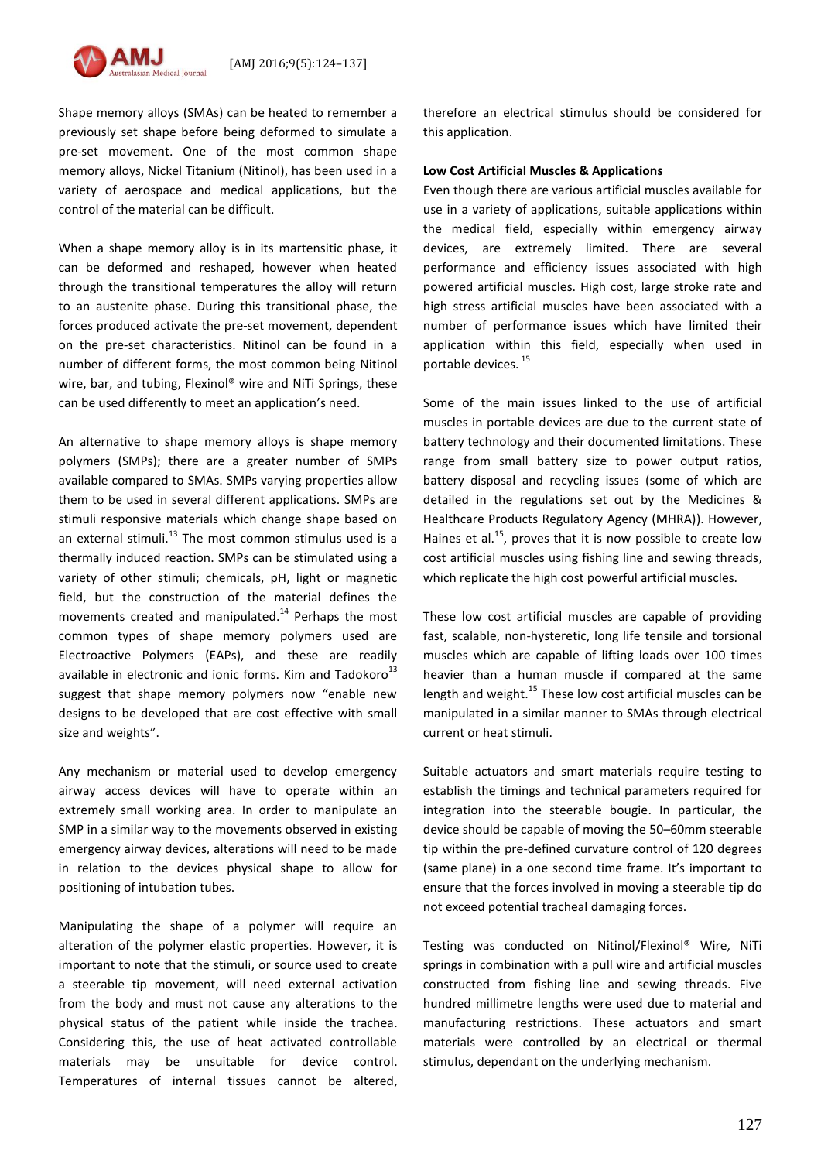

Shape memory alloys (SMAs) can be heated to remember a previously set shape before being deformed to simulate a pre-set movement. One of the most common shape memory alloys, Nickel Titanium (Nitinol), has been used in a variety of aerospace and medical applications, but the control of the material can be difficult.

When a shape memory alloy is in its martensitic phase, it can be deformed and reshaped, however when heated through the transitional temperatures the alloy will return to an austenite phase. During this transitional phase, the forces produced activate the pre-set movement, dependent on the pre-set characteristics. Nitinol can be found in a number of different forms, the most common being Nitinol wire, bar, and tubing, Flexinol® wire and NiTi Springs, these can be used differently to meet an application's need.

An alternative to shape memory alloys is shape memory polymers (SMPs); there are a greater number of SMPs available compared to SMAs. SMPs varying properties allow them to be used in several different applications. SMPs are stimuli responsive materials which change shape based on an external stimuli.<sup>13</sup> The most common stimulus used is a thermally induced reaction. SMPs can be stimulated using a variety of other stimuli; chemicals, pH, light or magnetic field, but the construction of the material defines the movements created and manipulated.<sup>14</sup> Perhaps the most common types of shape memory polymers used are Electroactive Polymers (EAPs), and these are readily available in electronic and ionic forms. Kim and Tadokoro<sup>13</sup> suggest that shape memory polymers now "enable new designs to be developed that are cost effective with small size and weights".

Any mechanism or material used to develop emergency airway access devices will have to operate within an extremely small working area. In order to manipulate an SMP in a similar way to the movements observed in existing emergency airway devices, alterations will need to be made in relation to the devices physical shape to allow for positioning of intubation tubes.

Manipulating the shape of a polymer will require an alteration of the polymer elastic properties. However, it is important to note that the stimuli, or source used to create a steerable tip movement, will need external activation from the body and must not cause any alterations to the physical status of the patient while inside the trachea. Considering this, the use of heat activated controllable materials may be unsuitable for device control. Temperatures of internal tissues cannot be altered,

therefore an electrical stimulus should be considered for this application.

#### **Low Cost Artificial Muscles & Applications**

Even though there are various artificial muscles available for use in a variety of applications, suitable applications within the medical field, especially within emergency airway devices, are extremely limited. There are several performance and efficiency issues associated with high powered artificial muscles. High cost, large stroke rate and high stress artificial muscles have been associated with a number of performance issues which have limited their application within this field, especially when used in portable devices. <sup>15</sup>

Some of the main issues linked to the use of artificial muscles in portable devices are due to the current state of battery technology and their documented limitations. These range from small battery size to power output ratios, battery disposal and recycling issues (some of which are detailed in the regulations set out by the Medicines & Healthcare Products Regulatory Agency (MHRA)). However, Haines et al.<sup>15</sup>, proves that it is now possible to create low cost artificial muscles using fishing line and sewing threads, which replicate the high cost powerful artificial muscles.

These low cost artificial muscles are capable of providing fast, scalable, non-hysteretic, long life tensile and torsional muscles which are capable of lifting loads over 100 times heavier than a human muscle if compared at the same length and weight.<sup>15</sup> These low cost artificial muscles can be manipulated in a similar manner to SMAs through electrical current or heat stimuli.

Suitable actuators and smart materials require testing to establish the timings and technical parameters required for integration into the steerable bougie. In particular, the device should be capable of moving the 50–60mm steerable tip within the pre-defined curvature control of 120 degrees (same plane) in a one second time frame. It's important to ensure that the forces involved in moving a steerable tip do not exceed potential tracheal damaging forces.

Testing was conducted on Nitinol/Flexinol® Wire, NiTi springs in combination with a pull wire and artificial muscles constructed from fishing line and sewing threads. Five hundred millimetre lengths were used due to material and manufacturing restrictions. These actuators and smart materials were controlled by an electrical or thermal stimulus, dependant on the underlying mechanism.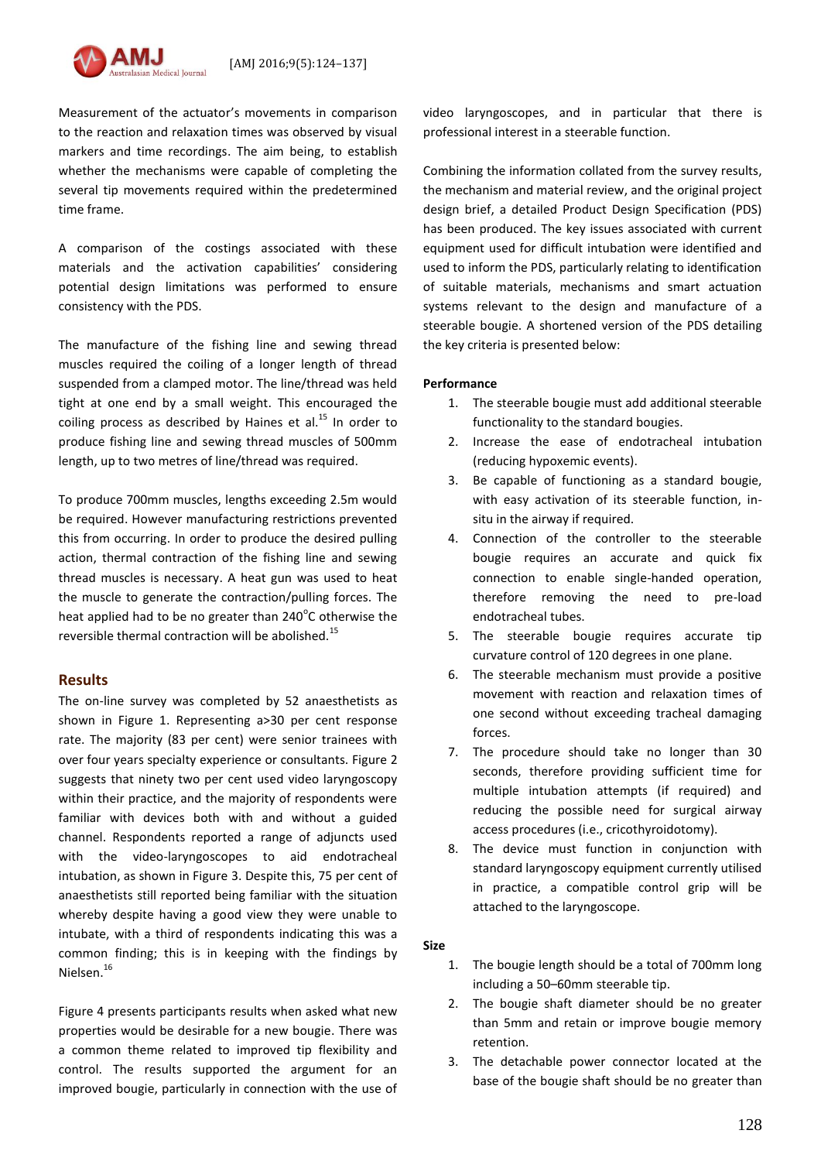Measurement of the actuator's movements in comparison to the reaction and relaxation times was observed by visual markers and time recordings. The aim being, to establish whether the mechanisms were capable of completing the several tip movements required within the predetermined time frame.

A comparison of the costings associated with these materials and the activation capabilities' considering potential design limitations was performed to ensure consistency with the PDS.

The manufacture of the fishing line and sewing thread muscles required the coiling of a longer length of thread suspended from a clamped motor. The line/thread was held tight at one end by a small weight. This encouraged the coiling process as described by Haines et al.<sup>15</sup> In order to produce fishing line and sewing thread muscles of 500mm length, up to two metres of line/thread was required.

To produce 700mm muscles, lengths exceeding 2.5m would be required. However manufacturing restrictions prevented this from occurring. In order to produce the desired pulling action, thermal contraction of the fishing line and sewing thread muscles is necessary. A heat gun was used to heat the muscle to generate the contraction/pulling forces. The heat applied had to be no greater than 240 $^{\circ}$ C otherwise the reversible thermal contraction will be abolished.<sup>15</sup>

### **Results**

The on-line survey was completed by 52 anaesthetists as shown in Figure 1. Representing a>30 per cent response rate. The majority (83 per cent) were senior trainees with over four years specialty experience or consultants. Figure 2 suggests that ninety two per cent used video laryngoscopy within their practice, and the majority of respondents were familiar with devices both with and without a guided channel. Respondents reported a range of adjuncts used with the video-laryngoscopes to aid endotracheal intubation, as shown in Figure 3. Despite this, 75 per cent of anaesthetists still reported being familiar with the situation whereby despite having a good view they were unable to intubate, with a third of respondents indicating this was a common finding; this is in keeping with the findings by Nielsen.<sup>16</sup>

Figure 4 presents participants results when asked what new properties would be desirable for a new bougie. There was a common theme related to improved tip flexibility and control. The results supported the argument for an improved bougie, particularly in connection with the use of video laryngoscopes, and in particular that there is professional interest in a steerable function.

Combining the information collated from the survey results, the mechanism and material review, and the original project design brief, a detailed Product Design Specification (PDS) has been produced. The key issues associated with current equipment used for difficult intubation were identified and used to inform the PDS, particularly relating to identification of suitable materials, mechanisms and smart actuation systems relevant to the design and manufacture of a steerable bougie. A shortened version of the PDS detailing the key criteria is presented below:

### **Performance**

- 1. The steerable bougie must add additional steerable functionality to the standard bougies.
- 2. Increase the ease of endotracheal intubation (reducing hypoxemic events).
- 3. Be capable of functioning as a standard bougie, with easy activation of its steerable function, insitu in the airway if required.
- 4. Connection of the controller to the steerable bougie requires an accurate and quick fix connection to enable single-handed operation, therefore removing the need to pre-load endotracheal tubes.
- 5. The steerable bougie requires accurate tip curvature control of 120 degrees in one plane.
- 6. The steerable mechanism must provide a positive movement with reaction and relaxation times of one second without exceeding tracheal damaging forces.
- 7. The procedure should take no longer than 30 seconds, therefore providing sufficient time for multiple intubation attempts (if required) and reducing the possible need for surgical airway access procedures (i.e., cricothyroidotomy).
- 8. The device must function in conjunction with standard laryngoscopy equipment currently utilised in practice, a compatible control grip will be attached to the laryngoscope.

# **Size**

- 1. The bougie length should be a total of 700mm long including a 50–60mm steerable tip.
- 2. The bougie shaft diameter should be no greater than 5mm and retain or improve bougie memory retention.
- 3. The detachable power connector located at the base of the bougie shaft should be no greater than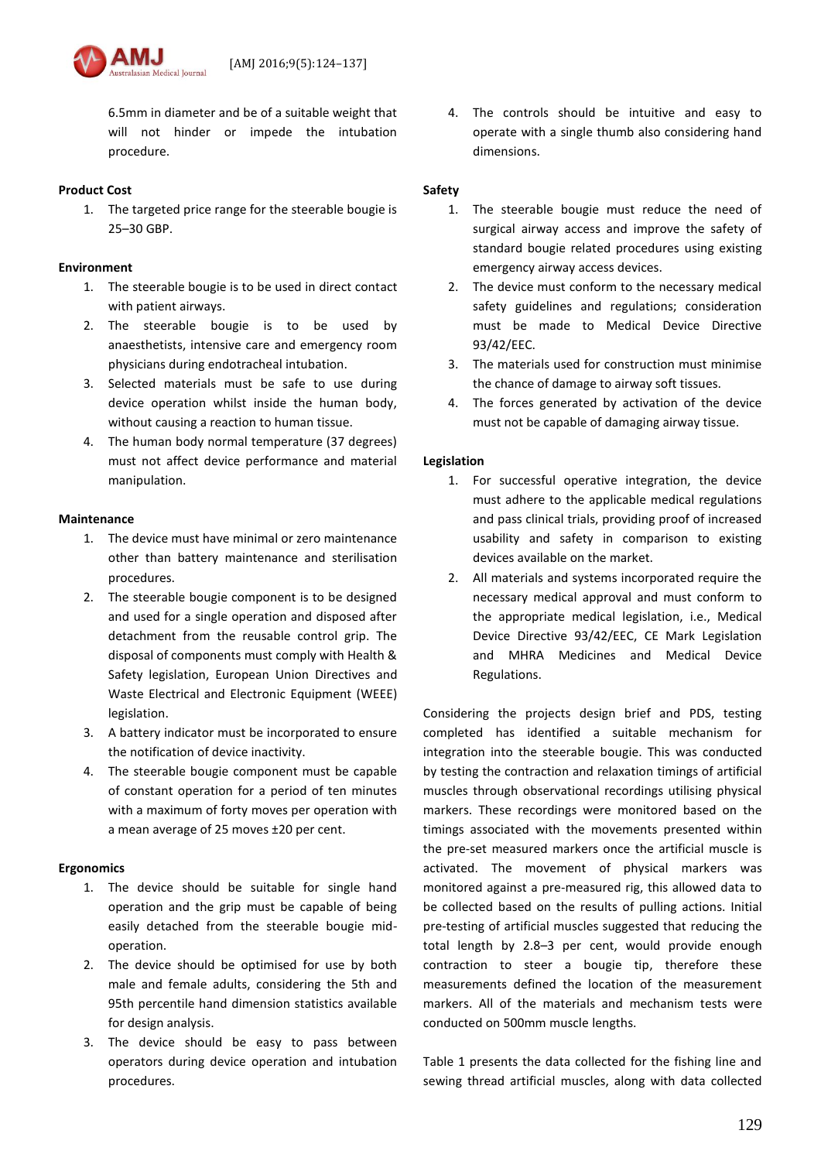6.5mm in diameter and be of a suitable weight that will not hinder or impede the intubation procedure.

sian Medical Iournal

### **Product Cost**

1. The targeted price range for the steerable bougie is 25–30 GBP.

# **Environment**

- 1. The steerable bougie is to be used in direct contact with patient airways.
- 2. The steerable bougie is to be used by anaesthetists, intensive care and emergency room physicians during endotracheal intubation.
- 3. Selected materials must be safe to use during device operation whilst inside the human body, without causing a reaction to human tissue.
- 4. The human body normal temperature (37 degrees) must not affect device performance and material manipulation.

# **Maintenance**

- 1. The device must have minimal or zero maintenance other than battery maintenance and sterilisation procedures.
- 2. The steerable bougie component is to be designed and used for a single operation and disposed after detachment from the reusable control grip. The disposal of components must comply with Health & Safety legislation, European Union Directives and Waste Electrical and Electronic Equipment (WEEE) legislation.
- 3. A battery indicator must be incorporated to ensure the notification of device inactivity.
- 4. The steerable bougie component must be capable of constant operation for a period of ten minutes with a maximum of forty moves per operation with a mean average of 25 moves ±20 per cent.

### **Ergonomics**

- 1. The device should be suitable for single hand operation and the grip must be capable of being easily detached from the steerable bougie midoperation.
- 2. The device should be optimised for use by both male and female adults, considering the 5th and 95th percentile hand dimension statistics available for design analysis.
- 3. The device should be easy to pass between operators during device operation and intubation procedures.

4. The controls should be intuitive and easy to operate with a single thumb also considering hand dimensions.

### **Safety**

- 1. The steerable bougie must reduce the need of surgical airway access and improve the safety of standard bougie related procedures using existing emergency airway access devices.
- 2. The device must conform to the necessary medical safety guidelines and regulations; consideration must be made to Medical Device Directive 93/42/EEC.
- 3. The materials used for construction must minimise the chance of damage to airway soft tissues.
- 4. The forces generated by activation of the device must not be capable of damaging airway tissue.

# **Legislation**

- 1. For successful operative integration, the device must adhere to the applicable medical regulations and pass clinical trials, providing proof of increased usability and safety in comparison to existing devices available on the market.
- 2. All materials and systems incorporated require the necessary medical approval and must conform to the appropriate medical legislation, i.e., Medical Device Directive 93/42/EEC, CE Mark Legislation and MHRA Medicines and Medical Device Regulations.

Considering the projects design brief and PDS, testing completed has identified a suitable mechanism for integration into the steerable bougie. This was conducted by testing the contraction and relaxation timings of artificial muscles through observational recordings utilising physical markers. These recordings were monitored based on the timings associated with the movements presented within the pre-set measured markers once the artificial muscle is activated. The movement of physical markers was monitored against a pre-measured rig, this allowed data to be collected based on the results of pulling actions. Initial pre-testing of artificial muscles suggested that reducing the total length by 2.8–3 per cent, would provide enough contraction to steer a bougie tip, therefore these measurements defined the location of the measurement markers. All of the materials and mechanism tests were conducted on 500mm muscle lengths.

Table 1 presents the data collected for the fishing line and sewing thread artificial muscles, along with data collected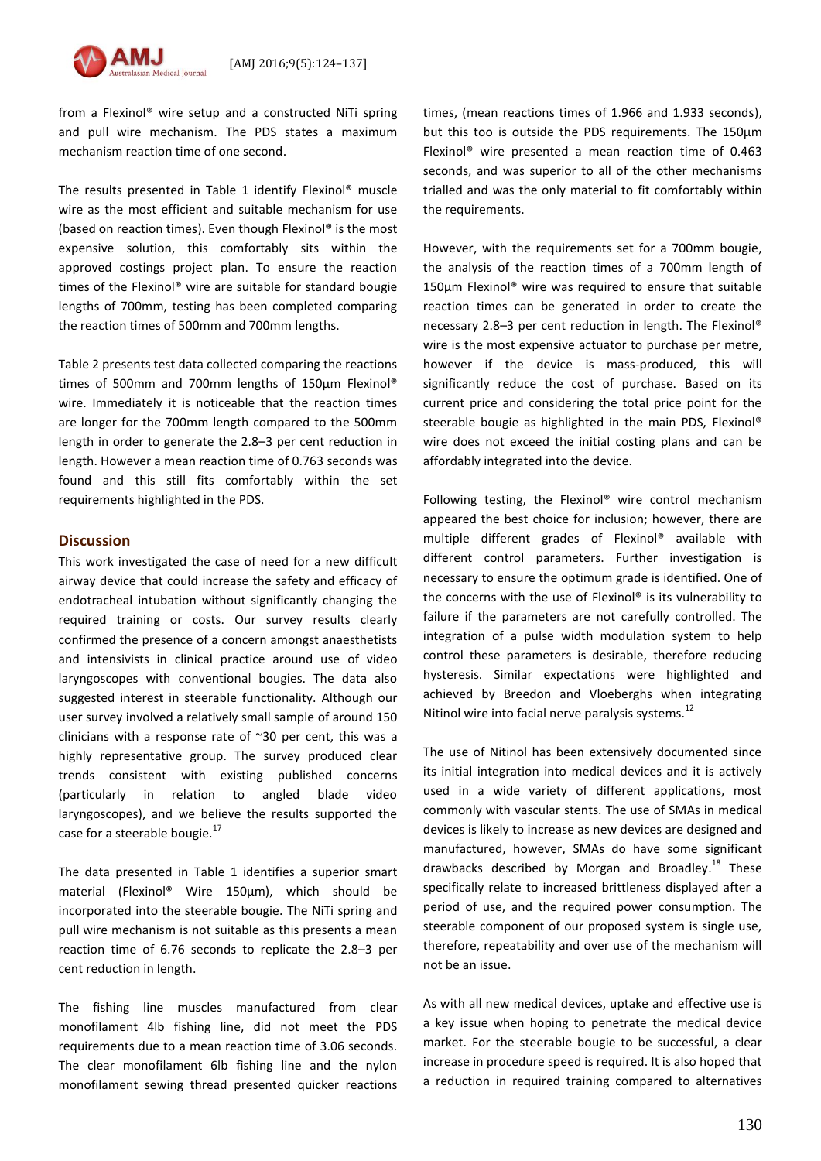

from a Flexinol® wire setup and a constructed NiTi spring and pull wire mechanism. The PDS states a maximum mechanism reaction time of one second.

The results presented in Table 1 identify Flexinol® muscle wire as the most efficient and suitable mechanism for use (based on reaction times). Even though Flexinol® is the most expensive solution, this comfortably sits within the approved costings project plan. To ensure the reaction times of the Flexinol® wire are suitable for standard bougie lengths of 700mm, testing has been completed comparing the reaction times of 500mm and 700mm lengths.

Table 2 presents test data collected comparing the reactions times of 500mm and 700mm lengths of 150μm Flexinol® wire. Immediately it is noticeable that the reaction times are longer for the 700mm length compared to the 500mm length in order to generate the 2.8–3 per cent reduction in length. However a mean reaction time of 0.763 seconds was found and this still fits comfortably within the set requirements highlighted in the PDS.

# **Discussion**

This work investigated the case of need for a new difficult airway device that could increase the safety and efficacy of endotracheal intubation without significantly changing the required training or costs. Our survey results clearly confirmed the presence of a concern amongst anaesthetists and intensivists in clinical practice around use of video laryngoscopes with conventional bougies. The data also suggested interest in steerable functionality. Although our user survey involved a relatively small sample of around 150 clinicians with a response rate of ~30 per cent, this was a highly representative group. The survey produced clear trends consistent with existing published concerns (particularly in relation to angled blade video laryngoscopes), and we believe the results supported the case for a steerable bougie. $^{17}$ 

The data presented in Table 1 identifies a superior smart material (Flexinol® Wire 150μm), which should be incorporated into the steerable bougie. The NiTi spring and pull wire mechanism is not suitable as this presents a mean reaction time of 6.76 seconds to replicate the 2.8–3 per cent reduction in length.

The fishing line muscles manufactured from clear monofilament 4lb fishing line, did not meet the PDS requirements due to a mean reaction time of 3.06 seconds. The clear monofilament 6lb fishing line and the nylon monofilament sewing thread presented quicker reactions times, (mean reactions times of 1.966 and 1.933 seconds), but this too is outside the PDS requirements. The 150μm Flexinol® wire presented a mean reaction time of 0.463 seconds, and was superior to all of the other mechanisms trialled and was the only material to fit comfortably within the requirements.

However, with the requirements set for a 700mm bougie, the analysis of the reaction times of a 700mm length of 150μm Flexinol® wire was required to ensure that suitable reaction times can be generated in order to create the necessary 2.8–3 per cent reduction in length. The Flexinol® wire is the most expensive actuator to purchase per metre, however if the device is mass-produced, this will significantly reduce the cost of purchase. Based on its current price and considering the total price point for the steerable bougie as highlighted in the main PDS, Flexinol® wire does not exceed the initial costing plans and can be affordably integrated into the device.

Following testing, the Flexinol® wire control mechanism appeared the best choice for inclusion; however, there are multiple different grades of Flexinol® available with different control parameters. Further investigation is necessary to ensure the optimum grade is identified. One of the concerns with the use of Flexinol® is its vulnerability to failure if the parameters are not carefully controlled. The integration of a pulse width modulation system to help control these parameters is desirable, therefore reducing hysteresis. Similar expectations were highlighted and achieved by Breedon and Vloeberghs when integrating Nitinol wire into facial nerve paralysis systems. $^{12}$ 

The use of Nitinol has been extensively documented since its initial integration into medical devices and it is actively used in a wide variety of different applications, most commonly with vascular stents. The use of SMAs in medical devices is likely to increase as new devices are designed and manufactured, however, SMAs do have some significant drawbacks described by Morgan and Broadley.<sup>18</sup> These specifically relate to increased brittleness displayed after a period of use, and the required power consumption. The steerable component of our proposed system is single use, therefore, repeatability and over use of the mechanism will not be an issue.

As with all new medical devices, uptake and effective use is a key issue when hoping to penetrate the medical device market. For the steerable bougie to be successful, a clear increase in procedure speed is required. It is also hoped that a reduction in required training compared to alternatives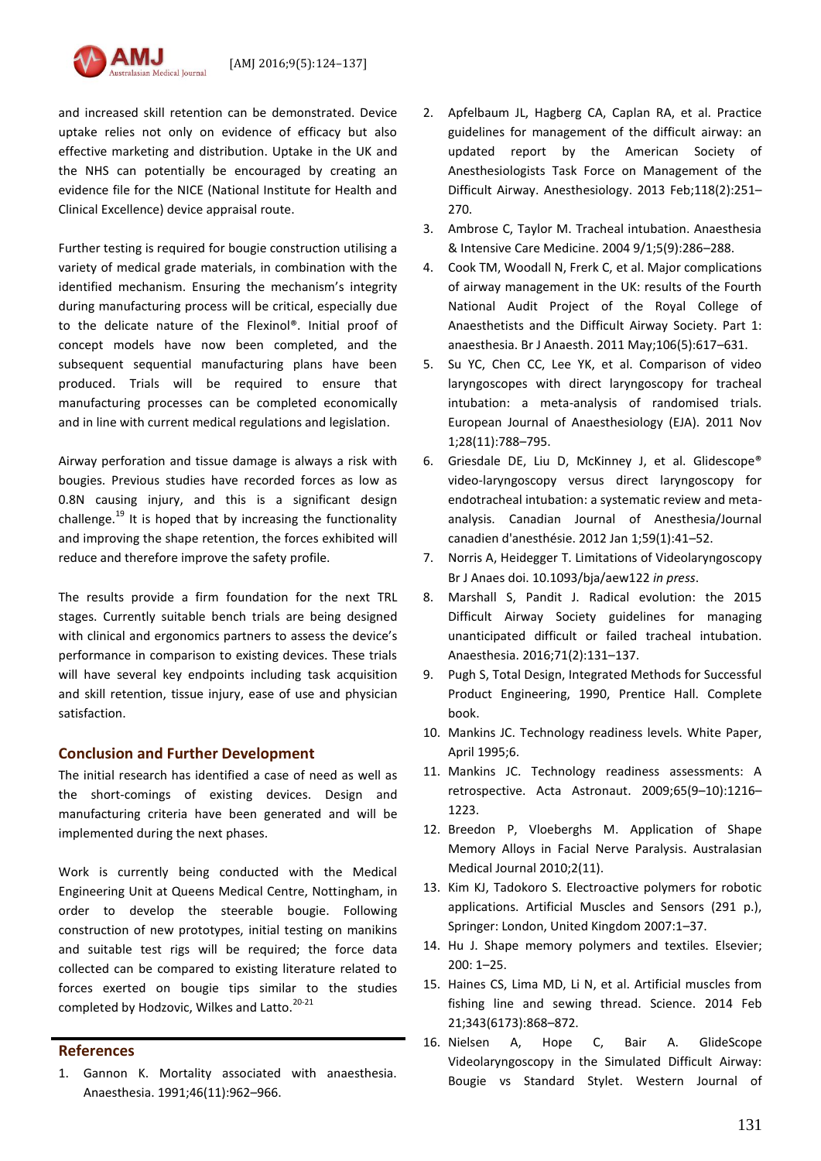and increased skill retention can be demonstrated. Device uptake relies not only on evidence of efficacy but also effective marketing and distribution. Uptake in the UK and the NHS can potentially be encouraged by creating an evidence file for the NICE (National Institute for Health and Clinical Excellence) device appraisal route.

Further testing is required for bougie construction utilising a variety of medical grade materials, in combination with the identified mechanism. Ensuring the mechanism's integrity during manufacturing process will be critical, especially due to the delicate nature of the Flexinol®. Initial proof of concept models have now been completed, and the subsequent sequential manufacturing plans have been produced. Trials will be required to ensure that manufacturing processes can be completed economically and in line with current medical regulations and legislation.

Airway perforation and tissue damage is always a risk with bougies. Previous studies have recorded forces as low as 0.8N causing injury, and this is a significant design challenge.<sup>19</sup> It is hoped that by increasing the functionality and improving the shape retention, the forces exhibited will reduce and therefore improve the safety profile.

The results provide a firm foundation for the next TRL stages. Currently suitable bench trials are being designed with clinical and ergonomics partners to assess the device's performance in comparison to existing devices. These trials will have several key endpoints including task acquisition and skill retention, tissue injury, ease of use and physician satisfaction.

# **Conclusion and Further Development**

The initial research has identified a case of need as well as the short-comings of existing devices. Design and manufacturing criteria have been generated and will be implemented during the next phases.

Work is currently being conducted with the Medical Engineering Unit at Queens Medical Centre, Nottingham, in order to develop the steerable bougie. Following construction of new prototypes, initial testing on manikins and suitable test rigs will be required; the force data collected can be compared to existing literature related to forces exerted on bougie tips similar to the studies completed by Hodzovic, Wilkes and Latto.<sup>20-21</sup>

# **References**

1. Gannon K. Mortality associated with anaesthesia. Anaesthesia. 1991;46(11):962–966.

- 2. Apfelbaum JL, Hagberg CA, Caplan RA, et al. Practice guidelines for management of the difficult airway: an updated report by the American Society of Anesthesiologists Task Force on Management of the Difficult Airway. Anesthesiology. 2013 Feb;118(2):251– 270.
- 3. Ambrose C, Taylor M. Tracheal intubation. Anaesthesia & Intensive Care Medicine. 2004 9/1;5(9):286–288.
- 4. Cook TM, Woodall N, Frerk C, et al. Major complications of airway management in the UK: results of the Fourth National Audit Project of the Royal College of Anaesthetists and the Difficult Airway Society. Part 1: anaesthesia. Br J Anaesth. 2011 May;106(5):617–631.
- 5. Su YC, Chen CC, Lee YK, et al. Comparison of video laryngoscopes with direct laryngoscopy for tracheal intubation: a meta-analysis of randomised trials. European Journal of Anaesthesiology (EJA). 2011 Nov 1;28(11):788–795.
- 6. Griesdale DE, Liu D, McKinney J, et al. Glidescope® video-laryngoscopy versus direct laryngoscopy for endotracheal intubation: a systematic review and metaanalysis. Canadian Journal of Anesthesia/Journal canadien d'anesthésie. 2012 Jan 1;59(1):41–52.
- 7. Norris A, Heidegger T. Limitations of Videolaryngoscopy Br J Anaes doi. 10.1093/bja/aew122 *in press*.
- 8. Marshall S, Pandit J. Radical evolution: the 2015 Difficult Airway Society guidelines for managing unanticipated difficult or failed tracheal intubation. Anaesthesia. 2016;71(2):131–137.
- 9. Pugh S, Total Design, Integrated Methods for Successful Product Engineering, 1990, Prentice Hall. Complete book.
- 10. Mankins JC. Technology readiness levels. White Paper, April 1995;6.
- 11. Mankins JC. Technology readiness assessments: A retrospective. Acta Astronaut. 2009;65(9–10):1216– 1223.
- 12. Breedon P, Vloeberghs M. Application of Shape Memory Alloys in Facial Nerve Paralysis. Australasian Medical Journal 2010;2(11).
- 13. Kim KJ, Tadokoro S. Electroactive polymers for robotic applications. Artificial Muscles and Sensors (291 p.), Springer: London, United Kingdom 2007:1–37.
- 14. Hu J. Shape memory polymers and textiles. Elsevier; 200: 1–25.
- 15. Haines CS, Lima MD, Li N, et al. Artificial muscles from fishing line and sewing thread. Science. 2014 Feb 21;343(6173):868–872.
- 16. [Nielsen](http://www.ncbi.nlm.nih.gov/pubmed/?term=Nielsen%20AA%255Bauth%255D) A, [Hope](http://www.ncbi.nlm.nih.gov/pubmed/?term=Hope%20CB%255Bauth%255D) C, Bair A. GlideScope Videolaryngoscopy in the Simulated Difficult Airway: Bougie vs Standard Stylet. Western Journal of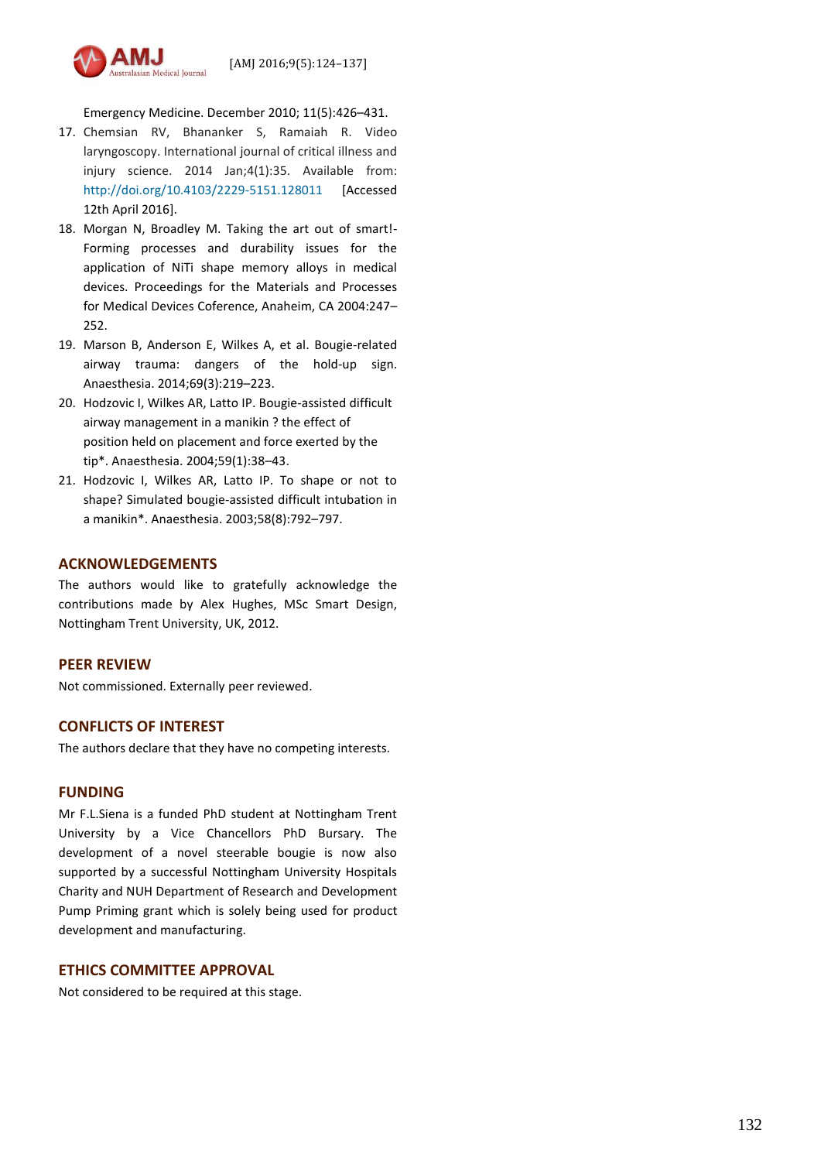

Emergency Medicine. December 2010; 11(5):426–431.

- 17. Chemsian RV, Bhananker S, Ramaiah R. Video laryngoscopy. International journal of critical illness and injury science. 2014 Jan;4(1):35. Available from: <http://doi.org/10.4103/2229-5151.128011> [Accessed 12th April 2016].
- 18. Morgan N, Broadley M. Taking the art out of smart!- Forming processes and durability issues for the application of NiTi shape memory alloys in medical devices. Proceedings for the Materials and Processes for Medical Devices Coference, Anaheim, CA 2004:247– 252.
- 19. Marson B, Anderson E, Wilkes A, et al. Bougie‐related airway trauma: dangers of the hold‐up sign. Anaesthesia. 2014;69(3):219–223.
- 20. Hodzovic I, Wilkes AR, Latto IP. Bougie-assisted difficult airway management in a manikin ? the effect of position held on placement and force exerted by the tip\*. Anaesthesia. 2004;59(1):38–43.
- 21. Hodzovic I, Wilkes AR, Latto IP. To shape or not to shape? Simulated bougie-assisted difficult intubation in a manikin\*. Anaesthesia. 2003;58(8):792–797.

# **ACKNOWLEDGEMENTS**

The authors would like to gratefully acknowledge the contributions made by Alex Hughes, MSc Smart Design, Nottingham Trent University, UK, 2012.

### **PEER REVIEW**

Not commissioned. Externally peer reviewed.

# **CONFLICTS OF INTEREST**

The authors declare that they have no competing interests.

### **FUNDING**

Mr F.L.Siena is a funded PhD student at Nottingham Trent University by a Vice Chancellors PhD Bursary. The development of a novel steerable bougie is now also supported by a successful Nottingham University Hospitals Charity and NUH Department of Research and Development Pump Priming grant which is solely being used for product development and manufacturing.

# **ETHICS COMMITTEE APPROVAL**

Not considered to be required at this stage.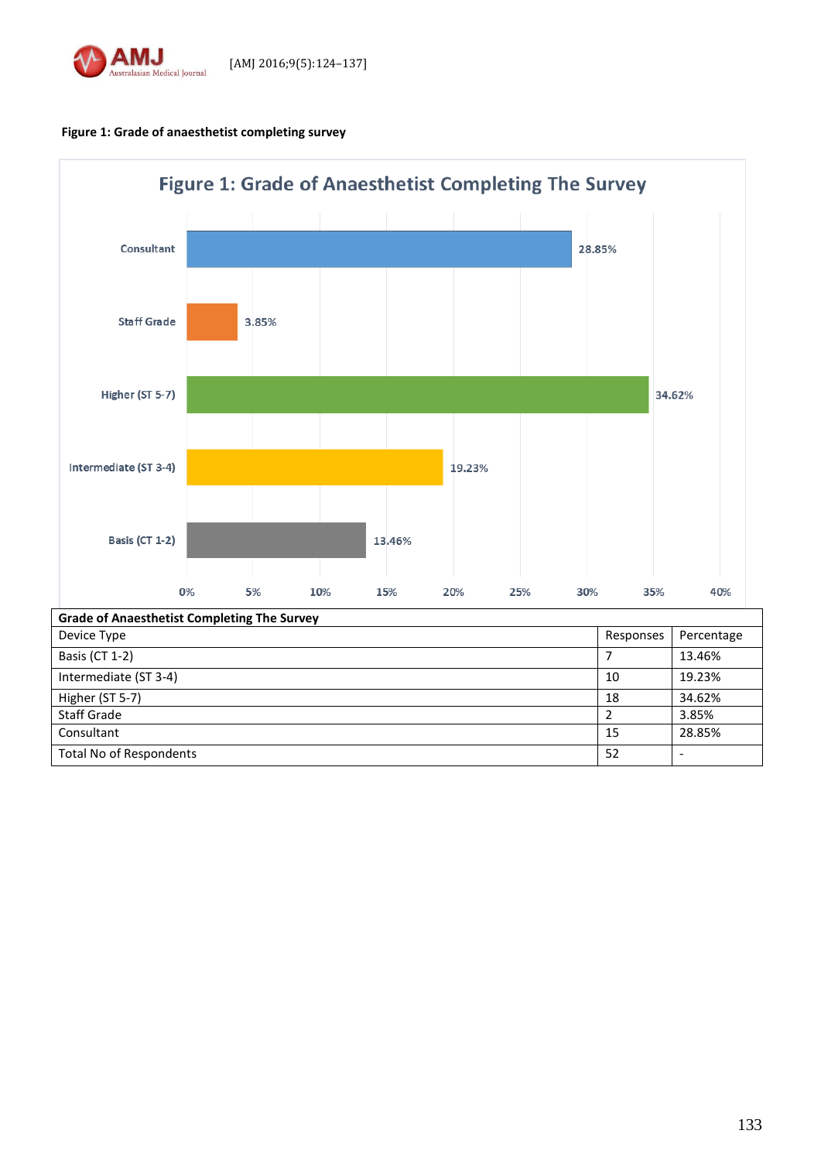

**Figure 1: Grade of anaesthetist completing survey**

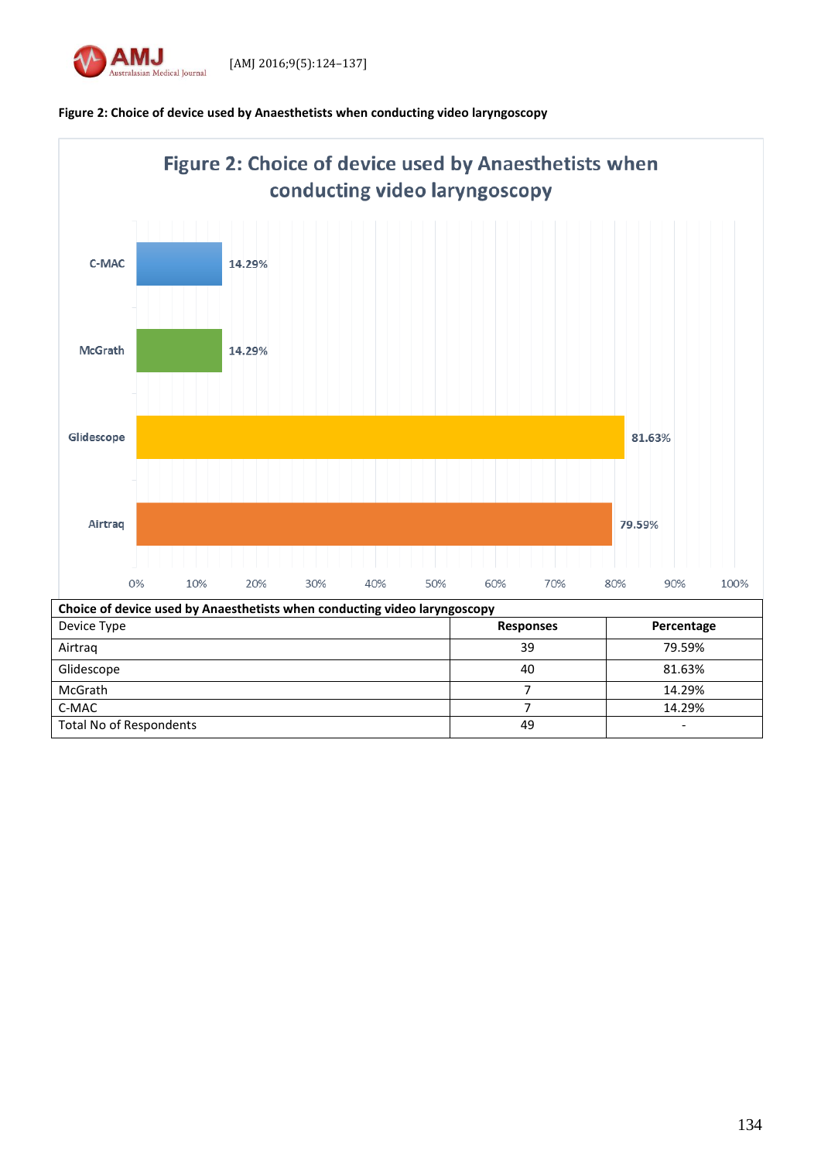



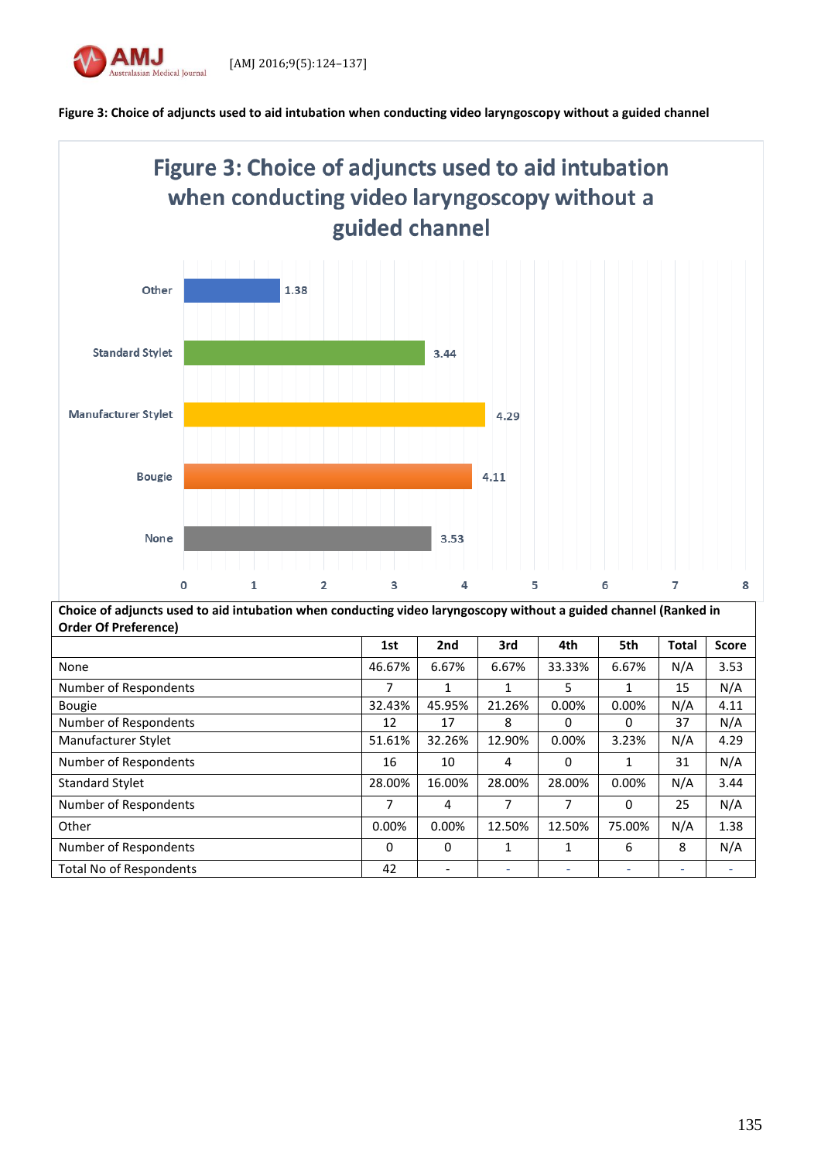





| Choice of adjuncts used to aid intubation when conducting video laryngoscopy without a guided channel (Ranked in |          |          |              |          |              |              |              |
|------------------------------------------------------------------------------------------------------------------|----------|----------|--------------|----------|--------------|--------------|--------------|
| <b>Order Of Preference)</b>                                                                                      |          |          |              |          |              |              |              |
|                                                                                                                  | 1st      | 2nd      | 3rd          | 4th      | 5th          | <b>Total</b> | <b>Score</b> |
| None                                                                                                             | 46.67%   | 6.67%    | 6.67%        | 33.33%   | 6.67%        | N/A          | 3.53         |
| Number of Respondents                                                                                            | 7        | 1        | $\mathbf{1}$ | 5        | $\mathbf{1}$ | 15           | N/A          |
| <b>Bougie</b>                                                                                                    | 32.43%   | 45.95%   | 21.26%       | 0.00%    | 0.00%        | N/A          | 4.11         |
| Number of Respondents                                                                                            | 12       | 17       | 8            | $\Omega$ | 0            | 37           | N/A          |
| Manufacturer Stylet                                                                                              | 51.61%   | 32.26%   | 12.90%       | $0.00\%$ | 3.23%        | N/A          | 4.29         |
| Number of Respondents                                                                                            | 16       | 10       | 4            | 0        | 1            | 31           | N/A          |
| <b>Standard Stylet</b>                                                                                           | 28.00%   | 16.00%   | 28.00%       | 28.00%   | 0.00%        | N/A          | 3.44         |
| Number of Respondents                                                                                            | 7        | 4        | 7            | 7        | 0            | 25           | N/A          |
| Other                                                                                                            | 0.00%    | 0.00%    | 12.50%       | 12.50%   | 75.00%       | N/A          | 1.38         |
| Number of Respondents                                                                                            | $\Omega$ | $\Omega$ | 1            | 1        | 6            | 8            | N/A          |
| <b>Total No of Respondents</b>                                                                                   | 42       |          | ٠            |          | ٠            |              |              |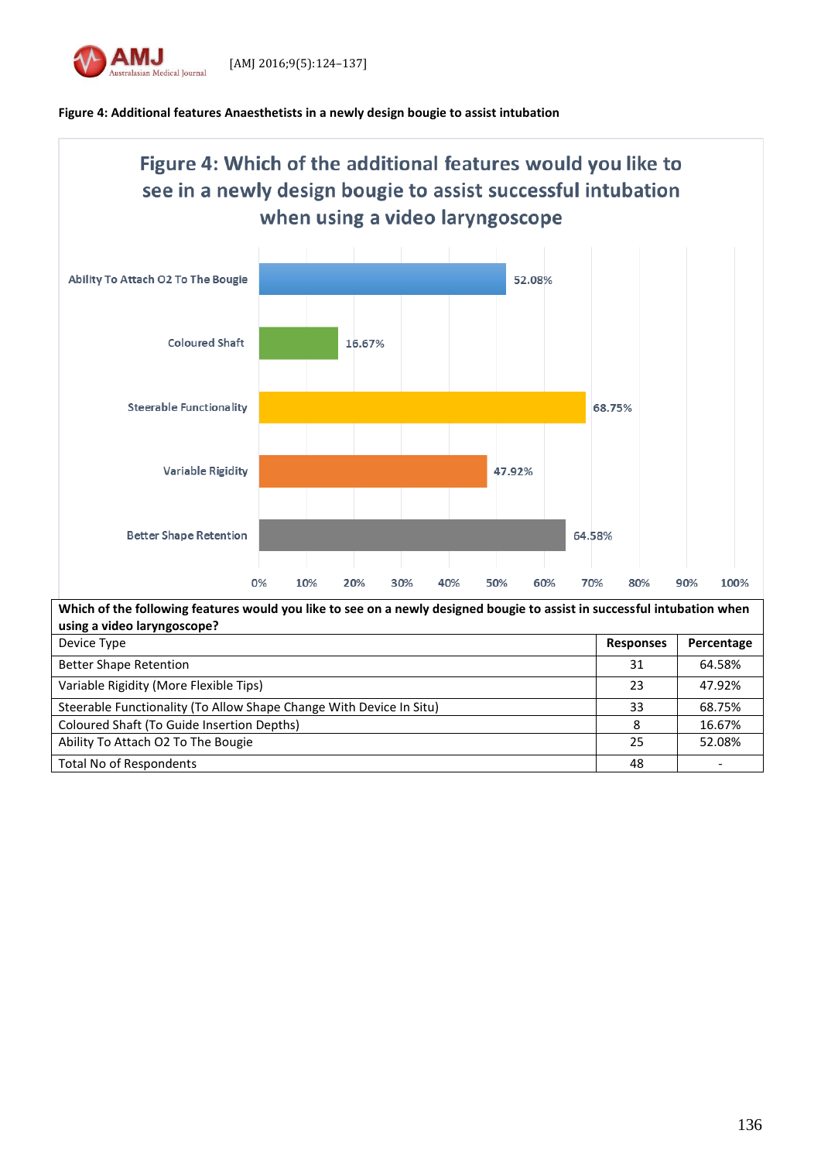

# **Figure 4: Additional features Anaesthetists in a newly design bougie to assist intubation**



Total No of Respondents and the set of the set of the set of the set of the set of the set of the set of the set of the set of the set of the set of the set of the set of the set of the set of the set of the set of the set